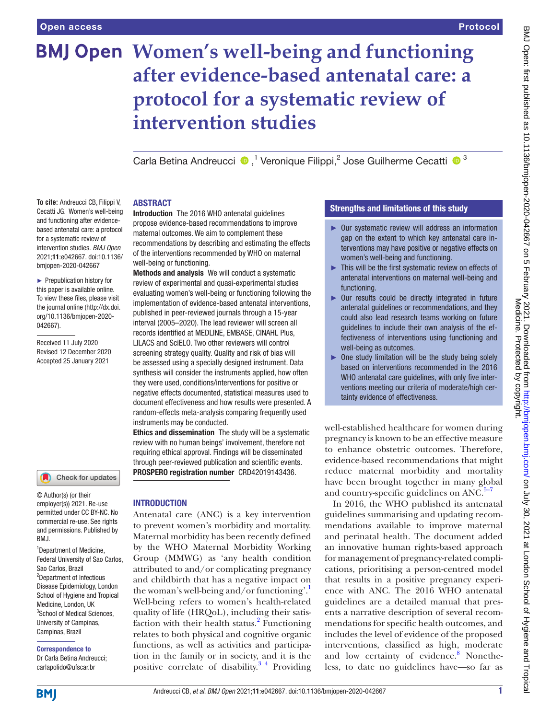# **BMJ Open Women's well-being and functioning after evidence-based antenatal care: a protocol for a systematic review of intervention studies**

Carla Betina Andreucci  $\bullet$ ,<sup>1</sup> Veronique Filippi,<sup>2</sup> Jose Guilherme Cecatti  $\bullet$ <sup>3</sup>

#### ABSTRACT

**To cite:** Andreucci CB, Filippi V, Cecatti JG. Women's well-being and functioning after evidencebased antenatal care: a protocol for a systematic review of intervention studies. *BMJ Open* 2021;11:e042667. doi:10.1136/ bmjopen-2020-042667

► Prepublication history for this paper is available online. To view these files, please visit the journal online (http://dx.doi. org/10.1136/bmjopen-2020- 042667).

Received 11 July 2020 Revised 12 December 2020 Accepted 25 January 2021



© Author(s) (or their employer(s)) 2021. Re-use permitted under CC BY-NC. No commercial re-use. See rights and permissions. Published by BMJ.

<sup>1</sup>Department of Medicine, Federal University of Sao Carlos, Sao Carlos, Brazil 2 Department of Infectious Disease Epidemiology, London School of Hygiene and Tropical Medicine, London, LIK 3 School of Medical Sciences, University of Campinas, Campinas, Brazil

# Correspondence to

Dr Carla Betina Andreucci; carlapolido@ufscar.br

Introduction The 2016 WHO antenatal guidelines propose evidence-based recommendations to improve maternal outcomes. We aim to complement these recommendations by describing and estimating the effects of the interventions recommended by WHO on maternal well-being or functioning.

Methods and analysis We will conduct a systematic review of experimental and quasi-experimental studies evaluating women's well-being or functioning following the implementation of evidence-based antenatal interventions, published in peer-reviewed journals through a 15-year interval (2005–2020). The lead reviewer will screen all records identified at MEDLINE, EMBASE, CINAHL Plus, LILACS and SciELO. Two other reviewers will control screening strategy quality. Quality and risk of bias will be assessed using a specially designed instrument. Data synthesis will consider the instruments applied, how often they were used, conditions/interventions for positive or negative effects documented, statistical measures used to document effectiveness and how results were presented. A random-effects meta-analysis comparing frequently used instruments may be conducted.

Ethics and dissemination The study will be a systematic review with no human beings' involvement, therefore not requiring ethical approval. Findings will be disseminated through peer-reviewed publication and scientific events. PROSPERO registration number CRD42019143436.

# INTRODUCTION

Antenatal care (ANC) is a key intervention to prevent women's morbidity and mortality. Maternal morbidity has been recently defined by the WHO Maternal Morbidity Working Group (MMWG) as 'any health condition attributed to and/or complicating pregnancy and childbirth that has a negative impact on the woman's well-being and/or functioning'. Well-being refers to women's health-related quality of life (HRQoL), including their satisfaction with their health status.<sup>2</sup> Functioning relates to both physical and cognitive organic functions, as well as activities and participation in the family or in society, and it is the positive correlate of disability.<sup>3</sup><sup>4</sup> Providing

# Strengths and limitations of this study

- ► Our systematic review will address an information gap on the extent to which key antenatal care interventions may have positive or negative effects on women's well-being and functioning.
- ► This will be the first systematic review on effects of antenatal interventions on maternal well-being and functioning.
- ► Our results could be directly integrated in future antenatal guidelines or recommendations, and they could also lead research teams working on future guidelines to include their own analysis of the effectiveness of interventions using functioning and well-being as outcomes.
- ► One study limitation will be the study being solely based on interventions recommended in the 2016 WHO antenatal care guidelines, with only five interventions meeting our criteria of moderate/high certainty evidence of effectiveness.

well-established healthcare for women during pregnancy is known to be an effective measure to enhance obstetric outcomes. Therefore, evidence-based recommendations that might reduce maternal morbidity and mortality have been brought together in many global and country-specific guidelines on ANC. $5-7$ 

In 2016, the WHO published its antenatal guidelines summarising and updating recommendations available to improve maternal and perinatal health. The document added an innovative human rights-based approach for management of pregnancy-related complications, prioritising a person-centred model that results in a positive pregnancy experience with ANC. The 2016 WHO antenatal guidelines are a detailed manual that presents a narrative description of several recommendations for specific health outcomes, and includes the level of evidence of the proposed interventions, classified as high, moderate and low certainty of evidence.<sup>[8](#page-5-4)</sup> Nonetheless, to date no guidelines have—so far as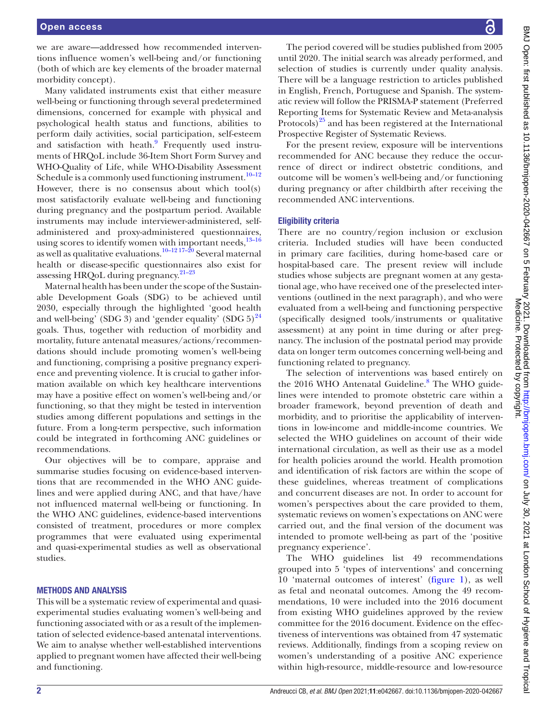we are aware—addressed how recommended interventions influence women's well-being and/or functioning (both of which are key elements of the broader maternal morbidity concept).

Many validated instruments exist that either measure well-being or functioning through several predetermined dimensions, concerned for example with physical and psychological health status and functions, abilities to perform daily activities, social participation, self-esteem and satisfaction with heath.<sup>[9](#page-5-5)</sup> Frequently used instruments of HRQoL include 36-Item Short Form Survey and WHO-Quality of Life, while WHO-Disability Assessment Schedule is a commonly used functioning instrument.<sup>10-12</sup> However, there is no consensus about which tool(s) most satisfactorily evaluate well-being and functioning during pregnancy and the postpartum period. Available instruments may include interviewer-administered, selfadministered and proxy-administered questionnaires, using scores to identify women with important needs, $13-16$ as well as qualitative evaluations.<sup>[10–12 17–20](#page-5-6)</sup> Several maternal health or disease-specific questionnaires also exist for assessing HRQoL during pregnancy. $21-23$ 

Maternal health has been under the scope of the Sustainable Development Goals (SDG) to be achieved until 2030, especially through the highlighted 'good health and well-being' (SDG 3) and 'gender equality' (SDG  $5)^{24}$ goals. Thus, together with reduction of morbidity and mortality, future antenatal measures/actions/recommendations should include promoting women's well-being and functioning, comprising a positive pregnancy experience and preventing violence. It is crucial to gather information available on which key healthcare interventions may have a positive effect on women's well-being and/or functioning, so that they might be tested in intervention studies among different populations and settings in the future. From a long-term perspective, such information could be integrated in forthcoming ANC guidelines or recommendations.

Our objectives will be to compare, appraise and summarise studies focusing on evidence-based interventions that are recommended in the WHO ANC guidelines and were applied during ANC, and that have/have not influenced maternal well-being or functioning. In the WHO ANC guidelines, evidence-based interventions consisted of treatment, procedures or more complex programmes that were evaluated using experimental and quasi-experimental studies as well as observational studies.

#### METHODS AND ANALYSIS

This will be a systematic review of experimental and quasiexperimental studies evaluating women's well-being and functioning associated with or as a result of the implementation of selected evidence-based antenatal interventions. We aim to analyse whether well-established interventions applied to pregnant women have affected their well-being and functioning.

The period covered will be studies published from 2005 until 2020. The initial search was already performed, and selection of studies is currently under quality analysis. There will be a language restriction to articles published in English, French, Portuguese and Spanish. The systematic review will follow the PRISMA-P statement (Preferred Reporting Items for Systematic Review and Meta-analysis Protocols)<sup>25</sup> and has been registered at the International Prospective Register of Systematic Reviews.

For the present review, exposure will be interventions recommended for ANC because they reduce the occurrence of direct or indirect obstetric conditions, and outcome will be women's well-being and/or functioning during pregnancy or after childbirth after receiving the recommended ANC interventions.

#### Eligibility criteria

There are no country/region inclusion or exclusion criteria. Included studies will have been conducted in primary care facilities, during home-based care or hospital-based care. The present review will include studies whose subjects are pregnant women at any gestational age, who have received one of the preselected interventions (outlined in the next paragraph), and who were evaluated from a well-being and functioning perspective (specifically designed tools/instruments or qualitative assessment) at any point in time during or after pregnancy. The inclusion of the postnatal period may provide data on longer term outcomes concerning well-being and functioning related to pregnancy.

The selection of interventions was based entirely on the 2016 WHO Antenatal Guideline.<sup>[8](#page-5-4)</sup> The WHO guidelines were intended to promote obstetric care within a broader framework, beyond prevention of death and morbidity, and to prioritise the applicability of interventions in low-income and middle-income countries. We selected the WHO guidelines on account of their wide international circulation, as well as their use as a model for health policies around the world. Health promotion and identification of risk factors are within the scope of these guidelines, whereas treatment of complications and concurrent diseases are not. In order to account for women's perspectives about the care provided to them, systematic reviews on women's expectations on ANC were carried out, and the final version of the document was intended to promote well-being as part of the 'positive pregnancy experience'.

The WHO guidelines list 49 recommendations grouped into 5 'types of interventions' and concerning 10 'maternal outcomes of interest' ([figure](#page-2-0) 1), as well as fetal and neonatal outcomes. Among the 49 recommendations, 10 were included into the 2016 document from existing WHO guidelines approved by the review committee for the 2016 document. Evidence on the effectiveness of interventions was obtained from 47 systematic reviews. Additionally, findings from a scoping review on women's understanding of a positive ANC experience within high-resource, middle-resource and low-resource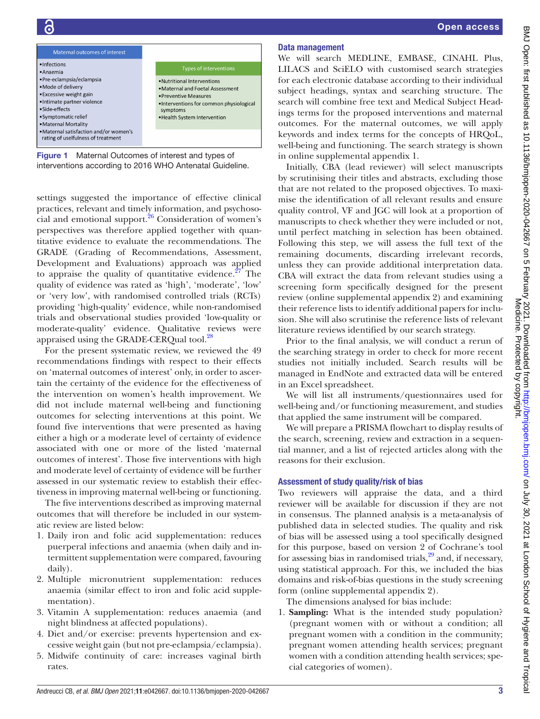

Figure 1 Maternal Outcomes of interest and types of interventions according to 2016 WHO Antenatal Guideline.

<span id="page-2-0"></span>settings suggested the importance of effective clinical practices, relevant and timely information, and psychosocial and emotional support. $26$  Consideration of women's perspectives was therefore applied together with quantitative evidence to evaluate the recommendations. The GRADE (Grading of Recommendations, Assessment, Development and Evaluations) approach was applied to appraise the quality of quantitative evidence.<sup>[27](#page-5-12)</sup> The quality of evidence was rated as 'high', 'moderate', 'low' or 'very low', with randomised controlled trials (RCTs) providing 'high-quality' evidence, while non-randomised trials and observational studies provided 'low-quality or moderate-quality' evidence. Qualitative reviews were appraised using the GRADE-CERQual tool.<sup>28</sup>

For the present systematic review, we reviewed the 49 recommendations findings with respect to their effects on 'maternal outcomes of interest' only, in order to ascertain the certainty of the evidence for the effectiveness of the intervention on women's health improvement. We did not include maternal well-being and functioning outcomes for selecting interventions at this point. We found five interventions that were presented as having either a high or a moderate level of certainty of evidence associated with one or more of the listed 'maternal outcomes of interest'. Those five interventions with high and moderate level of certainty of evidence will be further assessed in our systematic review to establish their effectiveness in improving maternal well-being or functioning.

The five interventions described as improving maternal outcomes that will therefore be included in our systematic review are listed below:

- 1. Daily iron and folic acid supplementation: reduces puerperal infections and anaemia (when daily and intermittent supplementation were compared, favouring daily).
- 2. Multiple micronutrient supplementation: reduces anaemia (similar effect to iron and folic acid supplementation).
- 3. Vitamin A supplementation: reduces anaemia (and night blindness at affected populations).
- 4. Diet and/or exercise: prevents hypertension and excessive weight gain (but not pre-eclampsia/eclampsia).
- 5. Midwife continuity of care: increases vaginal birth rates.

# Data management

We will search MEDLINE, EMBASE, CINAHL Plus, LILACS and SciELO with customised search strategies for each electronic database according to their individual subject headings, syntax and searching structure. The search will combine free text and Medical Subject Headings terms for the proposed interventions and maternal outcomes. For the maternal outcomes, we will apply keywords and index terms for the concepts of HRQoL, well-being and functioning. The search strategy is shown in [online supplemental appendix 1.](https://dx.doi.org/10.1136/bmjopen-2020-042667)

Initially, CBA (lead reviewer) will select manuscripts by scrutinising their titles and abstracts, excluding those that are not related to the proposed objectives. To maximise the identification of all relevant results and ensure quality control, VF and JGC will look at a proportion of manuscripts to check whether they were included or not, until perfect matching in selection has been obtained. Following this step, we will assess the full text of the remaining documents, discarding irrelevant records, unless they can provide additional interpretation data. CBA will extract the data from relevant studies using a screening form specifically designed for the present review [\(online supplemental appendix 2](https://dx.doi.org/10.1136/bmjopen-2020-042667)) and examining their reference lists to identify additional papers for inclusion. She will also scrutinise the reference lists of relevant literature reviews identified by our search strategy.

Prior to the final analysis, we will conduct a rerun of the searching strategy in order to check for more recent studies not initially included. Search results will be managed in EndNote and extracted data will be entered in an Excel spreadsheet.

We will list all instruments/questionnaires used for well-being and/or functioning measurement, and studies that applied the same instrument will be compared.

We will prepare a PRISMA flowchart to display results of the search, screening, review and extraction in a sequential manner, and a list of rejected articles along with the reasons for their exclusion.

# Assessment of study quality/risk of bias

Two reviewers will appraise the data, and a third reviewer will be available for discussion if they are not in consensus. The planned analysis is a meta-analysis of published data in selected studies. The quality and risk of bias will be assessed using a tool specifically designed for this purpose, based on version 2 of Cochrane's tool for assessing bias in randomised trials, $29$  and, if necessary, using statistical approach. For this, we included the bias domains and risk-of-bias questions in the study screening form [\(online supplemental appendix 2\)](https://dx.doi.org/10.1136/bmjopen-2020-042667).

The dimensions analysed for bias include:

1. **Sampling:** What is the intended study population? (pregnant women with or without a condition; all pregnant women with a condition in the community; pregnant women attending health services; pregnant women with a condition attending health services; special categories of women).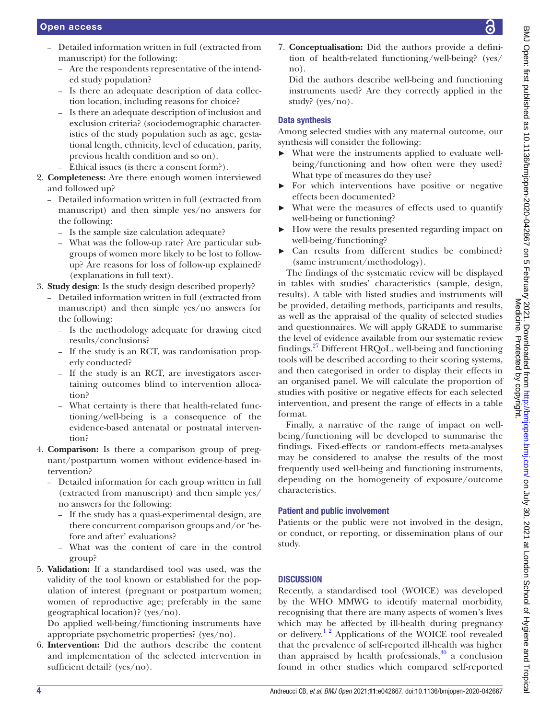- Detailed information written in full (extracted from manuscript) for the following:
	- Are the respondents representative of the intended study population?
	- Is there an adequate description of data collection location, including reasons for choice?
	- Is there an adequate description of inclusion and exclusion criteria? (sociodemographic characteristics of the study population such as age, gestational length, ethnicity, level of education, parity, previous health condition and so on).
	- Ethical issues (is there a consent form?).
- 2. **Completeness:** Are there enough women interviewed and followed up?
	- Detailed information written in full (extracted from manuscript) and then simple yes/no answers for the following:
		- Is the sample size calculation adequate?
		- What was the follow-up rate? Are particular subgroups of women more likely to be lost to followup? Are reasons for loss of follow-up explained? (explanations in full text).
- 3. **Study design**: Is the study design described properly?
	- Detailed information written in full (extracted from manuscript) and then simple yes/no answers for the following:
		- Is the methodology adequate for drawing cited results/conclusions?
		- If the study is an RCT, was randomisation properly conducted?
		- If the study is an RCT, are investigators ascertaining outcomes blind to intervention allocation?
		- What certainty is there that health-related functioning/well-being is a consequence of the evidence-based antenatal or postnatal intervention?
- 4. **Comparison:** Is there a comparison group of pregnant/postpartum women without evidence-based intervention?
	- Detailed information for each group written in full (extracted from manuscript) and then simple yes/ no answers for the following:
		- If the study has a quasi-experimental design, are there concurrent comparison groups and/or 'before and after' evaluations?
		- What was the content of care in the control group?
- 5. **Validation:** If a standardised tool was used, was the validity of the tool known or established for the population of interest (pregnant or postpartum women; women of reproductive age; preferably in the same geographical location)? (yes/no).

Do applied well-being/functioning instruments have appropriate psychometric properties? (yes/no).

6. **Intervention:** Did the authors describe the content and implementation of the selected intervention in sufficient detail? (yes/no).

7. **Conceptualisation:** Did the authors provide a definition of health-related functioning/well-being? (yes/ no).

Did the authors describe well-being and functioning instruments used? Are they correctly applied in the study? (yes/no).

## Data synthesis

Among selected studies with any maternal outcome, our synthesis will consider the following:

- What were the instruments applied to evaluate wellbeing/functioning and how often were they used? What type of measures do they use?
- ► For which interventions have positive or negative effects been documented?
- What were the measures of effects used to quantify well-being or functioning?
- ► How were the results presented regarding impact on well-being/functioning?
- Can results from different studies be combined? (same instrument/methodology).

The findings of the systematic review will be displayed in tables with studies' characteristics (sample, design, results). A table with listed studies and instruments will be provided, detailing methods, participants and results, as well as the appraisal of the quality of selected studies and questionnaires. We will apply GRADE to summarise the level of evidence available from our systematic review findings.[27](#page-5-12) Different HRQoL, well-being and functioning tools will be described according to their scoring systems, and then categorised in order to display their effects in an organised panel. We will calculate the proportion of studies with positive or negative effects for each selected intervention, and present the range of effects in a table format.

Finally, a narrative of the range of impact on wellbeing/functioning will be developed to summarise the findings. Fixed-effects or random-effects meta-analyses may be considered to analyse the results of the most frequently used well-being and functioning instruments, depending on the homogeneity of exposure/outcome characteristics.

### Patient and public involvement

Patients or the public were not involved in the design, or conduct, or reporting, or dissemination plans of our study.

## **DISCUSSION**

Recently, a standardised tool (WOICE) was developed by the WHO MMWG to identify maternal morbidity, recognising that there are many aspects of women's lives which may be affected by ill-health during pregnancy or delivery.<sup>12</sup> Applications of the WOICE tool revealed that the prevalence of self-reported ill-health was higher than appraised by health professionals, $30$  a conclusion found in other studies which compared self-reported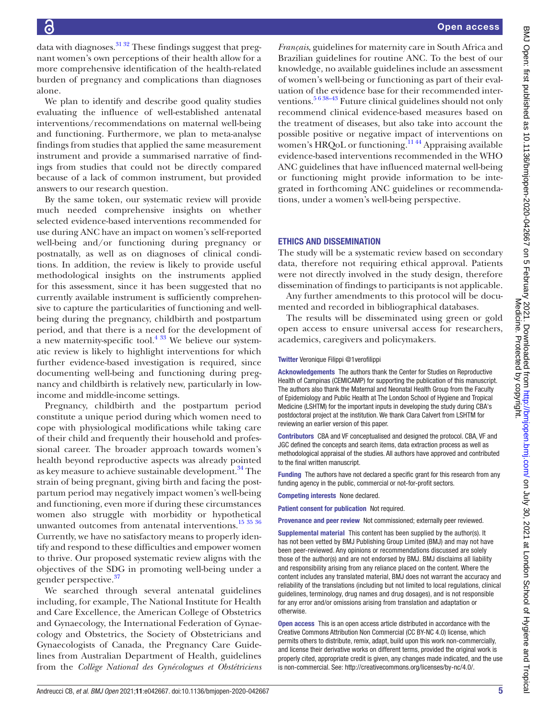data with diagnoses.  $31\frac{32}{2}$  These findings suggest that pregnant women's own perceptions of their health allow for a more comprehensive identification of the health-related burden of pregnancy and complications than diagnoses alone.

We plan to identify and describe good quality studies evaluating the influence of well-established antenatal interventions/recommendations on maternal well-being and functioning. Furthermore, we plan to meta-analyse findings from studies that applied the same measurement instrument and provide a summarised narrative of findings from studies that could not be directly compared because of a lack of common instrument, but provided answers to our research question.

By the same token, our systematic review will provide much needed comprehensive insights on whether selected evidence-based interventions recommended for use during ANC have an impact on women's self-reported well-being and/or functioning during pregnancy or postnatally, as well as on diagnoses of clinical conditions. In addition, the review is likely to provide useful methodological insights on the instruments applied for this assessment, since it has been suggested that no currently available instrument is sufficiently comprehensive to capture the particularities of functioning and wellbeing during the pregnancy, childbirth and postpartum period, and that there is a need for the development of  $\frac{1}{a}$  new maternity-specific tool.<sup>[4 33](#page-5-17)</sup> We believe our systematic review is likely to highlight interventions for which further evidence-based investigation is required, since documenting well-being and functioning during pregnancy and childbirth is relatively new, particularly in lowincome and middle-income settings.

Pregnancy, childbirth and the postpartum period constitute a unique period during which women need to cope with physiological modifications while taking care of their child and frequently their household and professional career. The broader approach towards women's health beyond reproductive aspects was already pointed as key measure to achieve sustainable development.<sup>34</sup> The strain of being pregnant, giving birth and facing the postpartum period may negatively impact women's well-being and functioning, even more if during these circumstances women also struggle with morbidity or hypothetical unwanted outcomes from antenatal interventions.<sup>15 35</sup> <sup>36</sup> Currently, we have no satisfactory means to properly identify and respond to these difficulties and empower women to thrive. Our proposed systematic review aligns with the objectives of the SDG in promoting well-being under a gender perspective.[37](#page-5-20)

We searched through several antenatal guidelines including, for example, The National Institute for Health and Care Excellence, the American College of Obstetrics and Gynaecology, the International Federation of Gynaecology and Obstetrics, the Society of Obstetricians and Gynaecologists of Canada, the Pregnancy Care Guidelines from Australian Department of Health, guidelines from the *Collège National des Gynécologues et Obstétriciens*  *Français*, guidelines for maternity care in South Africa and Brazilian guidelines for routine ANC. To the best of our knowledge, no available guidelines include an assessment of women's well-being or functioning as part of their evaluation of the evidence base for their recommended interventions.<sup>5 6 38–43</sup> Future clinical guidelines should not only recommend clinical evidence-based measures based on the treatment of diseases, but also take into account the possible positive or negative impact of interventions on women's HRQoL or functioning.<sup>1144</sup> Appraising available evidence-based interventions recommended in the WHO ANC guidelines that have influenced maternal well-being or functioning might provide information to be integrated in forthcoming ANC guidelines or recommendations, under a women's well-being perspective.

### ETHICS AND DISSEMINATION

The study will be a systematic review based on secondary data, therefore not requiring ethical approval. Patients were not directly involved in the study design, therefore dissemination of findings to participants is not applicable.

Any further amendments to this protocol will be documented and recorded in bibliographical databases.

The results will be disseminated using green or gold open access to ensure universal access for researchers, academics, caregivers and policymakers.

#### Twitter Veronique Filippi [@1verofilippi](https://twitter.com/1verofilippi)

Acknowledgements The authors thank the Center for Studies on Reproductive Health of Campinas (CEMICAMP) for supporting the publication of this manuscript. The authors also thank the Maternal and Neonatal Health Group from the Faculty of Epidemiology and Public Health at The London School of Hygiene and Tropical Medicine (LSHTM) for the important inputs in developing the study during CBA's postdoctoral project at the institution. We thank Clara Calvert from LSHTM for reviewing an earlier version of this paper.

Contributors CBA and VF conceptualised and designed the protocol. CBA, VF and JGC defined the concepts and search items, data extraction process as well as methodological appraisal of the studies. All authors have approved and contributed to the final written manuscript.

Funding The authors have not declared a specific grant for this research from any funding agency in the public, commercial or not-for-profit sectors.

Competing interests None declared.

Patient consent for publication Not required.

Provenance and peer review Not commissioned; externally peer reviewed.

Supplemental material This content has been supplied by the author(s). It has not been vetted by BMJ Publishing Group Limited (BMJ) and may not have been peer-reviewed. Any opinions or recommendations discussed are solely those of the author(s) and are not endorsed by BMJ. BMJ disclaims all liability and responsibility arising from any reliance placed on the content. Where the content includes any translated material, BMJ does not warrant the accuracy and reliability of the translations (including but not limited to local regulations, clinical guidelines, terminology, drug names and drug dosages), and is not responsible for any error and/or omissions arising from translation and adaptation or otherwise.

Open access This is an open access article distributed in accordance with the Creative Commons Attribution Non Commercial (CC BY-NC 4.0) license, which permits others to distribute, remix, adapt, build upon this work non-commercially, and license their derivative works on different terms, provided the original work is properly cited, appropriate credit is given, any changes made indicated, and the use is non-commercial. See: [http://creativecommons.org/licenses/by-nc/4.0/.](http://creativecommons.org/licenses/by-nc/4.0/)